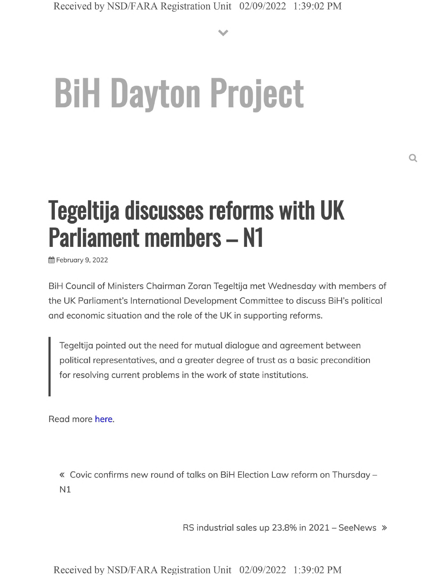**V**

# **BiH Dayton Project**

## **Tegeltija discusses reforms with UK Parliament members - N1**

**普February 9, 2022** 

BiH Council of Ministers Chairman Zoran Tegeltija met Wednesday with members of the UK Parliament's International Development Committee to discuss BiH's political and economic situation and the role of the UK in supporting reforms.

Tegeltija pointed out the need for mutual dialogue and agreement between political representatives, and a greater degree of trust as a basic precondition for resolving current problems in the work of state institutions.

Read more here.

« Covic confirms new round of talks on BiH Election Law reform on Thursday - N1

RS industrial sales up 23.8% in 2021 - SeeNews »

Received by NSD/FARA Registration Unit 02/09/2022 1:39:02 PM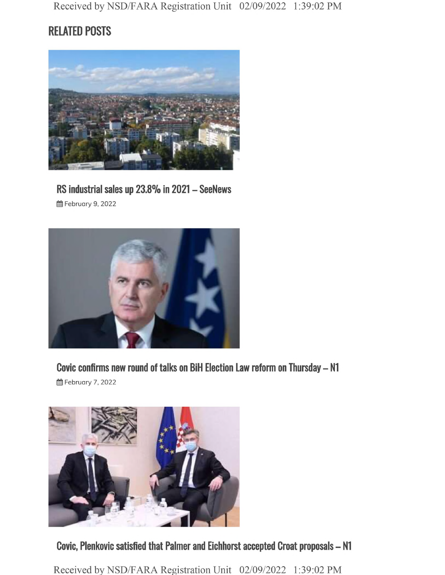Received by NSD/FARA Registration Unit 02/09/2022 1:39:02 PM

### **RELATED POSTS**



#### **RS industrial sales up 23.8% in <sup>2021</sup> - SeeNews**

§§ February 9, 2022



**Covic confirms new round of talks on BiH Election Law reform on Thursday—N1**

§§ February 7, 2022



**Covic, Plenkovic satisfied that Palmer and Eichhorst accepted Croat proposals - N1**

Received by NSD/FARA Registration Unit 02/09/2022 1:39:02 PM